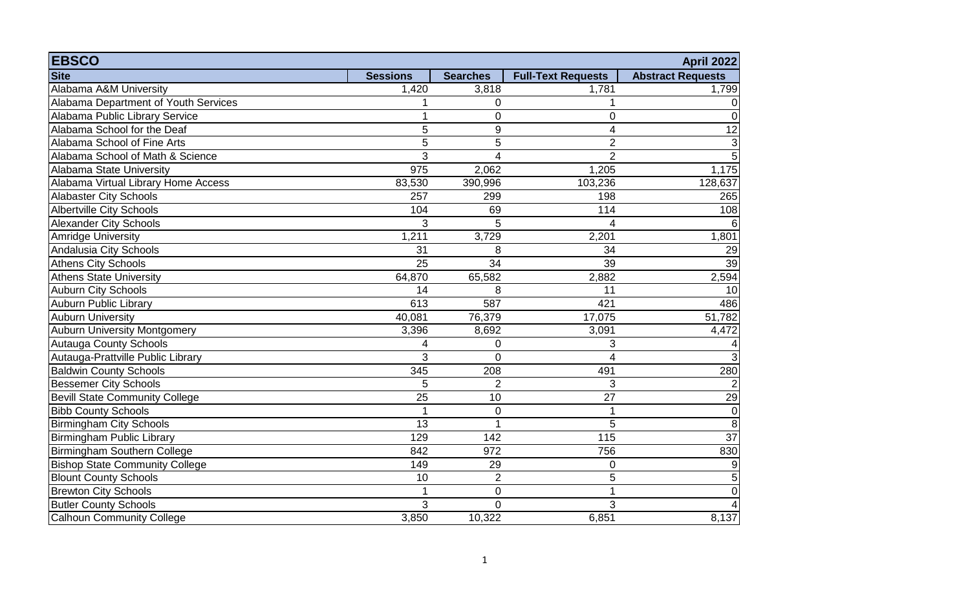| <b>EBSCO</b>                          |                 |                 |                           | <b>April 2022</b>        |
|---------------------------------------|-----------------|-----------------|---------------------------|--------------------------|
| <b>Site</b>                           | <b>Sessions</b> | <b>Searches</b> | <b>Full-Text Requests</b> | <b>Abstract Requests</b> |
| Alabama A&M University                | 1,420           | 3,818           | 1,781                     | 1,799                    |
| Alabama Department of Youth Services  |                 | $\mathbf 0$     |                           | $\Omega$                 |
| Alabama Public Library Service        | 1               | $\mathbf 0$     | 0                         | 0                        |
| Alabama School for the Deaf           | 5               | 9               | 4                         | 12                       |
| Alabama School of Fine Arts           | 5               | 5               | $\overline{2}$            | $\mathbf{3}$             |
| Alabama School of Math & Science      | 3               | $\overline{4}$  | $\overline{2}$            | 5                        |
| Alabama State University              | 975             | 2,062           | 1,205                     | 1,175                    |
| Alabama Virtual Library Home Access   | 83,530          | 390,996         | 103,236                   | 128,637                  |
| <b>Alabaster City Schools</b>         | 257             | 299             | 198                       | 265                      |
| <b>Albertville City Schools</b>       | 104             | 69              | 114                       | 108                      |
| <b>Alexander City Schools</b>         | 3               | 5               | 4                         | 6                        |
| <b>Amridge University</b>             | 1,211           | 3,729           | 2,201                     | 1,801                    |
| Andalusia City Schools                | 31              | 8               | 34                        | 29                       |
| Athens City Schools                   | 25              | 34              | 39                        | 39                       |
| Athens State University               | 64,870          | 65,582          | 2,882                     | 2,594                    |
| <b>Auburn City Schools</b>            | 14              | 8               | 11                        | 10                       |
| <b>Auburn Public Library</b>          | 613             | 587             | 421                       | 486                      |
| <b>Auburn University</b>              | 40,081          | 76,379          | 17,075                    | 51,782                   |
| <b>Auburn University Montgomery</b>   | 3,396           | 8,692           | 3,091                     | 4,472                    |
| <b>Autauga County Schools</b>         | 4               | $\mathbf 0$     | 3                         | 4                        |
| Autauga-Prattville Public Library     | 3               | $\overline{0}$  | 4                         | 3 <sup>1</sup>           |
| <b>Baldwin County Schools</b>         | 345             | 208             | 491                       | 280                      |
| <b>Bessemer City Schools</b>          | 5               | $\overline{2}$  | 3                         | $\overline{2}$           |
| <b>Bevill State Community College</b> | 25              | 10              | 27                        | 29                       |
| <b>Bibb County Schools</b>            | $\mathbf{1}$    | $\mathbf 0$     |                           | $\overline{0}$           |
| <b>Birmingham City Schools</b>        | 13              | 1               | 5                         | 8                        |
| Birmingham Public Library             | 129             | 142             | $\overline{115}$          | $\overline{37}$          |
| Birmingham Southern College           | 842             | 972             | 756                       | 830                      |
| <b>Bishop State Community College</b> | 149             | 29              | 0                         | $9\,$                    |
| <b>Blount County Schools</b>          | 10              | $\overline{2}$  | 5                         | $\overline{5}$           |
| <b>Brewton City Schools</b>           | $\overline{1}$  | $\mathbf 0$     |                           | $\overline{0}$           |
| <b>Butler County Schools</b>          | 3               | $\overline{0}$  | 3                         | 4                        |
| <b>Calhoun Community College</b>      | 3,850           | 10,322          | $6,85\overline{1}$        | 8,137                    |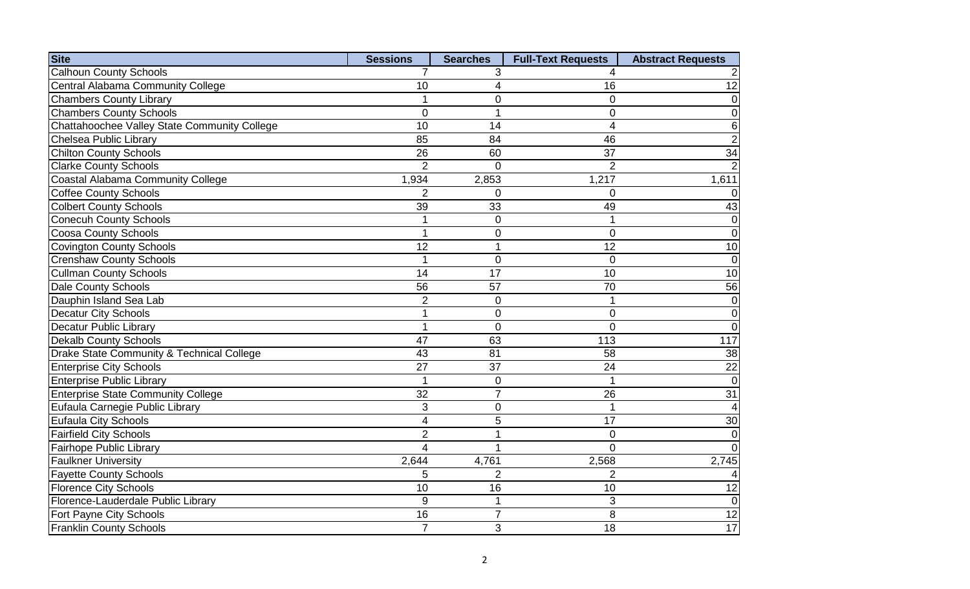| <b>Site</b>                                          | <b>Sessions</b> | <b>Searches</b> | <b>Full-Text Requests</b> | <b>Abstract Requests</b> |
|------------------------------------------------------|-----------------|-----------------|---------------------------|--------------------------|
| <b>Calhoun County Schools</b>                        | 7               | 3               |                           |                          |
| <b>Central Alabama Community College</b>             | 10              | 4               | 16                        | $\overline{12}$          |
| <b>Chambers County Library</b>                       | 1               | 0               | 0                         | 0                        |
| <b>Chambers County Schools</b>                       | $\overline{0}$  | $\mathbf 1$     | 0                         | 0                        |
| Chattahoochee Valley State Community College         | 10              | 14              | 4                         | 6                        |
| Chelsea Public Library                               | 85              | 84              | 46                        | $\overline{2}$           |
| <b>Chilton County Schools</b>                        | 26              | 60              | 37                        | $\overline{34}$          |
| <b>Clarke County Schools</b>                         | $\overline{2}$  | $\overline{0}$  | $\overline{2}$            | $\overline{2}$           |
| Coastal Alabama Community College                    | 1,934           | 2,853           | 1,217                     | 1,611                    |
| <b>Coffee County Schools</b>                         | $\overline{2}$  | 0               | 0                         |                          |
| <b>Colbert County Schools</b>                        | 39              | 33              | 49                        | 43                       |
| <b>Conecuh County Schools</b>                        | 1               | $\mathbf 0$     |                           | 0                        |
| <b>Coosa County Schools</b>                          | 1               | $\mathbf 0$     | $\overline{0}$            | $\overline{0}$           |
| <b>Covington County Schools</b>                      | 12              | 1               | 12                        | 10                       |
| <b>Crenshaw County Schools</b>                       | 1               | $\mathbf 0$     | 0                         | $\mathbf 0$              |
| <b>Cullman County Schools</b>                        | 14              | $\overline{17}$ | 10                        | 10                       |
| <b>Dale County Schools</b>                           | 56              | 57              | 70                        | 56                       |
| Dauphin Island Sea Lab                               | $\overline{2}$  | $\mathbf 0$     | 1                         | $\overline{0}$           |
| <b>Decatur City Schools</b>                          | $\overline{1}$  | $\mathbf 0$     | 0                         | 0                        |
| <b>Decatur Public Library</b>                        | 1               | $\overline{0}$  | 0                         | $\overline{0}$           |
| <b>Dekalb County Schools</b>                         | 47              | 63              | 113                       | 117                      |
| <b>Drake State Community &amp; Technical College</b> | 43              | 81              | 58                        | 38                       |
| <b>Enterprise City Schools</b>                       | 27              | 37              | 24                        | 22                       |
| <b>Enterprise Public Library</b>                     | $\mathbf{1}$    | $\mathbf 0$     |                           | $\overline{0}$           |
| <b>Enterprise State Community College</b>            | $\overline{32}$ | $\overline{7}$  | 26                        | $\overline{31}$          |
| Eufaula Carnegie Public Library                      | 3               | $\pmb{0}$       |                           | 4                        |
| <b>Eufaula City Schools</b>                          | $\overline{4}$  | 5               | 17                        | 30                       |
| <b>Fairfield City Schools</b>                        | $\overline{2}$  | 1               | $\mathbf 0$               | $\mathbf 0$              |
| Fairhope Public Library                              | $\overline{4}$  | 1               | $\Omega$                  | $\Omega$                 |
| <b>Faulkner University</b>                           | 2,644           | 4,761           | 2,568                     | 2,745                    |
| <b>Fayette County Schools</b>                        | 5               | $\overline{2}$  | $\overline{2}$            |                          |
| <b>Florence City Schools</b>                         | 10              | 16              | 10                        | 12                       |
| Florence-Lauderdale Public Library                   | $9\,$           | $\mathbf{1}$    | 3                         | $\overline{0}$           |
| Fort Payne City Schools                              | 16              | $\overline{7}$  | 8                         | $\overline{12}$          |
| <b>Franklin County Schools</b>                       | $\overline{7}$  | 3               | 18                        | 17                       |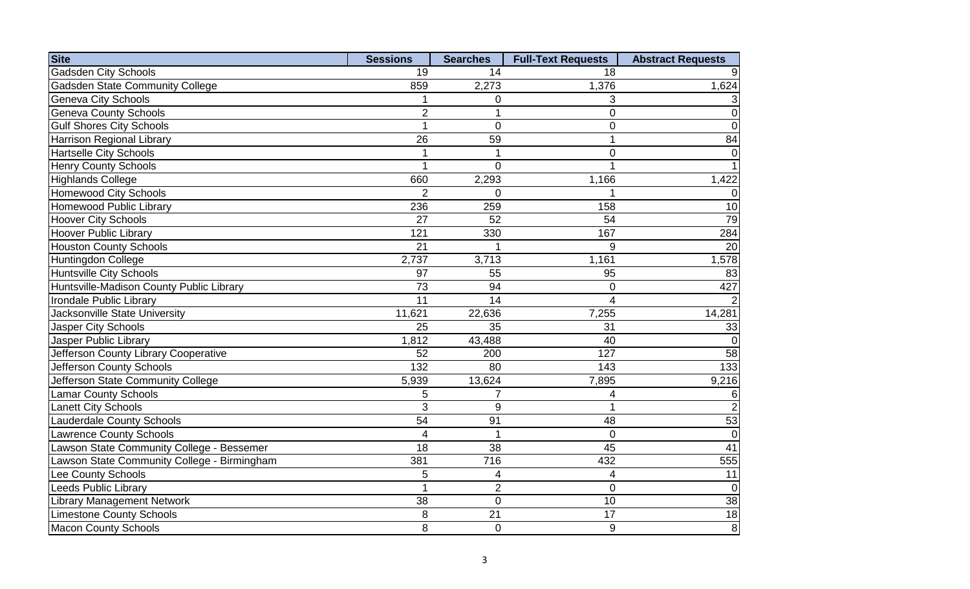| <b>Site</b>                                 | <b>Sessions</b>  | <b>Searches</b> | <b>Full-Text Requests</b> | <b>Abstract Requests</b> |
|---------------------------------------------|------------------|-----------------|---------------------------|--------------------------|
| <b>Gadsden City Schools</b>                 | 19               | 14              | 18                        |                          |
| <b>Gadsden State Community College</b>      | 859              | 2,273           | 1,376                     | 1,624                    |
| <b>Geneva City Schools</b>                  |                  | 0               | 3                         |                          |
| <b>Geneva County Schools</b>                | $\overline{2}$   | 1               | $\overline{0}$            | $\overline{0}$           |
| <b>Gulf Shores City Schools</b>             | $\overline{1}$   | $\Omega$        | 0                         | $\overline{0}$           |
| <b>Harrison Regional Library</b>            | 26               | 59              |                           | 84                       |
| <b>Hartselle City Schools</b>               |                  | 1               | $\overline{0}$            | $\Omega$                 |
| <b>Henry County Schools</b>                 | $\overline{1}$   | $\overline{0}$  |                           |                          |
| <b>Highlands College</b>                    | 660              | 2,293           | 1,166                     | 1,422                    |
| <b>Homewood City Schools</b>                | $\overline{2}$   | $\Omega$        |                           | $\Omega$                 |
| <b>Homewood Public Library</b>              | 236              | 259             | 158                       | 10                       |
| <b>Hoover City Schools</b>                  | 27               | 52              | 54                        | 79                       |
| <b>Hoover Public Library</b>                | 121              | 330             | 167                       | 284                      |
| <b>Houston County Schools</b>               | $\overline{21}$  |                 | 9                         | $\overline{20}$          |
| Huntingdon College                          | 2,737            | 3,713           | 1,161                     | 1,578                    |
| <b>Huntsville City Schools</b>              | 97               | 55              | 95                        | 83                       |
| Huntsville-Madison County Public Library    | 73               | 94              | $\mathbf 0$               | 427                      |
| Irondale Public Library                     | $\overline{11}$  | 14              | 4                         |                          |
| Jacksonville State University               | 11,621           | 22,636          | 7,255                     | 14,281                   |
| Jasper City Schools                         | 25               | 35              | 31                        | 33                       |
| Jasper Public Library                       | 1,812            | 43,488          | 40                        | $\Omega$                 |
| Jefferson County Library Cooperative        | $\overline{52}$  | 200             | 127                       | 58                       |
| Jefferson County Schools                    | $\overline{132}$ | 80              | 143                       | 133                      |
| Jefferson State Community College           | 5,939            | 13,624          | 7,895                     | 9,216                    |
| <b>Lamar County Schools</b>                 | 5                | $\overline{7}$  | 4                         | 6                        |
| <b>Lanett City Schools</b>                  | 3                | 9               |                           | $\overline{2}$           |
| <b>Lauderdale County Schools</b>            | $\overline{54}$  | 91              | 48                        | $\overline{53}$          |
| <b>Lawrence County Schools</b>              | $\overline{4}$   | $\mathbf 1$     | $\overline{0}$            | $\overline{0}$           |
| Lawson State Community College - Bessemer   | $\overline{18}$  | 38              | $\overline{45}$           | $\overline{41}$          |
| Lawson State Community College - Birmingham | 381              | 716             | 432                       | 555                      |
| Lee County Schools                          | 5                | 4               | 4                         | 11                       |
| <b>Leeds Public Library</b>                 | $\mathbf{1}$     | $\overline{2}$  | $\Omega$                  | $\overline{0}$           |
| <b>Library Management Network</b>           | 38               | $\mathbf 0$     | 10                        | $\overline{38}$          |
| <b>Limestone County Schools</b>             | 8                | 21              | 17                        | 18                       |
| <b>Macon County Schools</b>                 | 8                | $\mathbf 0$     | $\boldsymbol{9}$          | $\bf{8}$                 |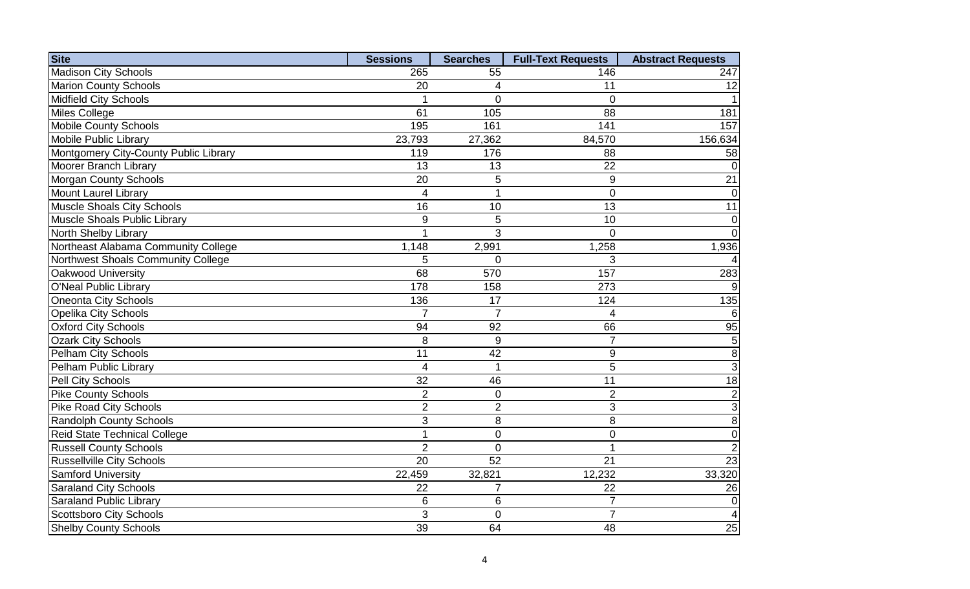| <b>Site</b>                           | <b>Sessions</b> | <b>Searches</b>  | <b>Full-Text Requests</b> | <b>Abstract Requests</b> |
|---------------------------------------|-----------------|------------------|---------------------------|--------------------------|
| <b>Madison City Schools</b>           | 265             | 55               | 146                       | 247                      |
| <b>Marion County Schools</b>          | 20              | 4                | 11                        | 12                       |
| <b>Midfield City Schools</b>          |                 | $\Omega$         | $\Omega$                  |                          |
| Miles College                         | 61              | 105              | 88                        | 181                      |
| <b>Mobile County Schools</b>          | 195             | 161              | 141                       | 157                      |
| <b>Mobile Public Library</b>          | 23,793          | 27,362           | 84,570                    | 156,634                  |
| Montgomery City-County Public Library | 119             | 176              | 88                        | 58                       |
| Moorer Branch Library                 | 13              | 13               | 22                        |                          |
| <b>Morgan County Schools</b>          | 20              | 5                | 9                         | 21                       |
| Mount Laurel Library                  | $\overline{4}$  | $\overline{1}$   | $\overline{0}$            | $\Omega$                 |
| Muscle Shoals City Schools            | 16              | 10               | 13                        | 11                       |
| Muscle Shoals Public Library          | 9               | 5                | 10                        | $\overline{0}$           |
| North Shelby Library                  |                 | 3                | $\Omega$                  | $\Omega$                 |
| Northeast Alabama Community College   | 1,148           | 2,991            | 1,258                     | 1,936                    |
| Northwest Shoals Community College    | 5               | $\overline{0}$   | 3                         |                          |
| Oakwood University                    | 68              | 570              | 157                       | 283                      |
| O'Neal Public Library                 | 178             | 158              | 273                       | 9                        |
| Oneonta City Schools                  | 136             | 17               | 124                       | 135                      |
| <b>Opelika City Schools</b>           | $\overline{7}$  | $\overline{7}$   | 4                         |                          |
| <b>Oxford City Schools</b>            | 94              | 92               | 66                        | 95                       |
| <b>Ozark City Schools</b>             | 8               | 9                | $\overline{7}$            | 5                        |
| Pelham City Schools                   | 11              | 42               | 9                         | 8                        |
| Pelham Public Library                 | $\overline{4}$  | $\overline{1}$   | 5                         | 3                        |
| Pell City Schools                     | 32              | 46               | 11                        | 18                       |
| <b>Pike County Schools</b>            | $\overline{2}$  | $\boldsymbol{0}$ | $\overline{2}$            | $\overline{2}$           |
| <b>Pike Road City Schools</b>         | $\overline{2}$  | $\overline{2}$   | 3                         | 3                        |
| <b>Randolph County Schools</b>        | 3               | 8                | 8                         | 8                        |
| Reid State Technical College          | $\mathbf{1}$    | $\overline{0}$   | $\overline{0}$            | $\overline{0}$           |
| <b>Russell County Schools</b>         | $\overline{2}$  | $\overline{0}$   | 1                         | $\overline{2}$           |
| <b>Russellville City Schools</b>      | 20              | 52               | 21                        | $\overline{23}$          |
| <b>Samford University</b>             | 22,459          | 32,821           | 12,232                    | 33,320                   |
| <b>Saraland City Schools</b>          | 22              | $\overline{7}$   | 22                        | 26                       |
| <b>Saraland Public Library</b>        | 6               | 6                | $\overline{7}$            | $\overline{0}$           |
| Scottsboro City Schools               | 3               | $\overline{0}$   | $\overline{7}$            |                          |
| <b>Shelby County Schools</b>          | 39              | 64               | 48                        | 25                       |